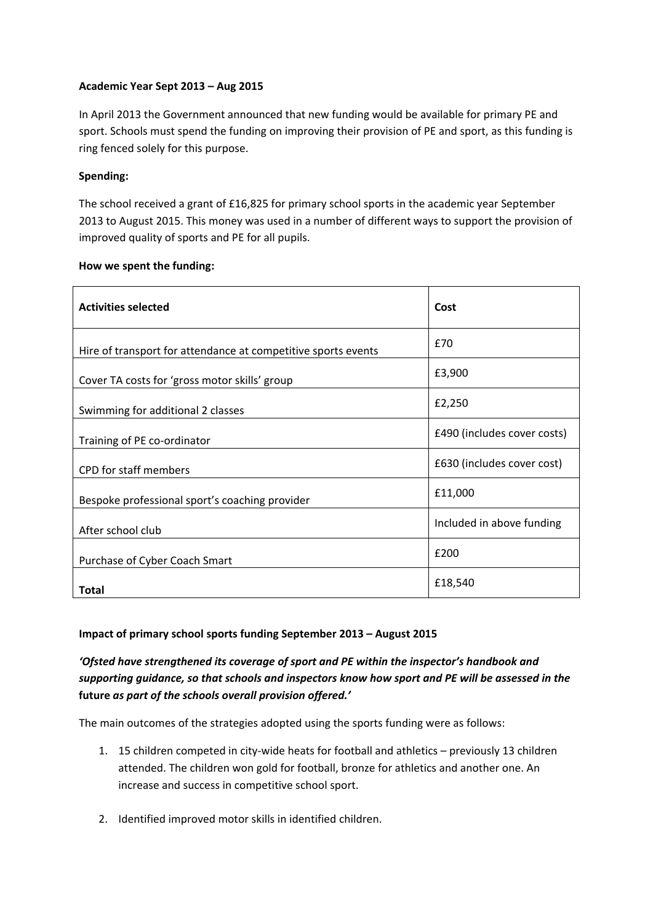## **Academic Year Sept 2013 – Aug 2015**

In April 2013 the Government announced that new funding would be available for primary PE and sport. Schools must spend the funding on improving their provision of PE and sport, as this funding is ring fenced solely for this purpose.

## **Spending:**

The school received a grant of £16,825 for primary school sports in the academic year September 2013 to August 2015. This money was used in a number of different ways to support the provision of improved quality of sports and PE for all pupils.

#### **How we spent the funding:**

| <b>Activities selected</b>                                    | Cost                        |
|---------------------------------------------------------------|-----------------------------|
| Hire of transport for attendance at competitive sports events | £70                         |
| Cover TA costs for 'gross motor skills' group                 | £3,900                      |
| Swimming for additional 2 classes                             | £2,250                      |
| Training of PE co-ordinator                                   | £490 (includes cover costs) |
| <b>CPD</b> for staff members                                  | £630 (includes cover cost)  |
| Bespoke professional sport's coaching provider                | £11,000                     |
| After school club                                             | Included in above funding   |
| Purchase of Cyber Coach Smart                                 | £200                        |
| Total                                                         | £18,540                     |

# **Impact of primary school sports funding September 2013 – August 2015**

# *'Ofsted have strengthened its coverage of sport and PE within the inspector's handbook and supporting guidance, so that schools and inspectors know how sport and PE will be assessed in the* **future** *as part of the schools overall provision offered.'*

The main outcomes of the strategies adopted using the sports funding were as follows:

- 1. 15 children competed in city-wide heats for football and athletics previously 13 children attended. The children won gold for football, bronze for athletics and another one. An increase and success in competitive school sport.
- 2. Identified improved motor skills in identified children.